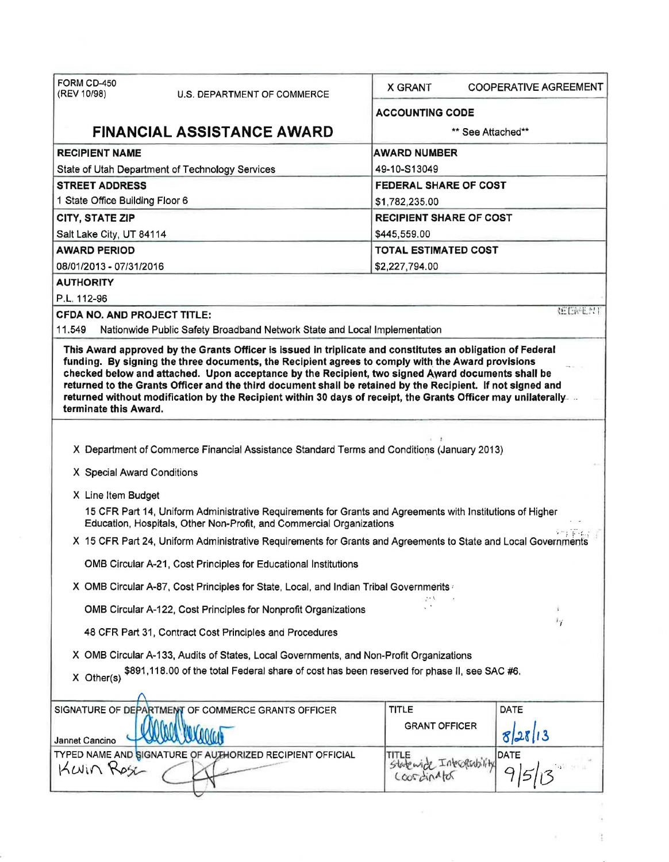| FORM CD-450<br>(REV 10/98)                                                                                                                                                                                                                                                                                                                                                                                                                                                                                                                                                     | <b>U.S. DEPARTMENT OF COMMERCE</b>                                                                                                                                                | <b>X GRANT</b>                               | <b>COOPERATIVE AGREEMENT</b> |  |  |
|--------------------------------------------------------------------------------------------------------------------------------------------------------------------------------------------------------------------------------------------------------------------------------------------------------------------------------------------------------------------------------------------------------------------------------------------------------------------------------------------------------------------------------------------------------------------------------|-----------------------------------------------------------------------------------------------------------------------------------------------------------------------------------|----------------------------------------------|------------------------------|--|--|
|                                                                                                                                                                                                                                                                                                                                                                                                                                                                                                                                                                                |                                                                                                                                                                                   | <b>ACCOUNTING CODE</b>                       |                              |  |  |
|                                                                                                                                                                                                                                                                                                                                                                                                                                                                                                                                                                                | <b>FINANCIAL ASSISTANCE AWARD</b>                                                                                                                                                 |                                              | ** See Attached**            |  |  |
| <b>RECIPIENT NAME</b>                                                                                                                                                                                                                                                                                                                                                                                                                                                                                                                                                          |                                                                                                                                                                                   | <b>AWARD NUMBER</b>                          |                              |  |  |
| State of Utah Department of Technology Services                                                                                                                                                                                                                                                                                                                                                                                                                                                                                                                                |                                                                                                                                                                                   | 49-10-S13049                                 |                              |  |  |
| <b>STREET ADDRESS</b>                                                                                                                                                                                                                                                                                                                                                                                                                                                                                                                                                          |                                                                                                                                                                                   | <b>FEDERAL SHARE OF COST</b>                 |                              |  |  |
| 1 State Office Building Floor 6                                                                                                                                                                                                                                                                                                                                                                                                                                                                                                                                                |                                                                                                                                                                                   | \$1,782,235.00                               |                              |  |  |
| <b>CITY, STATE ZIP</b>                                                                                                                                                                                                                                                                                                                                                                                                                                                                                                                                                         |                                                                                                                                                                                   | <b>RECIPIENT SHARE OF COST</b>               |                              |  |  |
| Salt Lake City, UT 84114                                                                                                                                                                                                                                                                                                                                                                                                                                                                                                                                                       |                                                                                                                                                                                   | \$445,559.00                                 |                              |  |  |
| <b>AWARD PERIOD</b>                                                                                                                                                                                                                                                                                                                                                                                                                                                                                                                                                            |                                                                                                                                                                                   | <b>TOTAL ESTIMATED COST</b>                  |                              |  |  |
| 08/01/2013 - 07/31/2016                                                                                                                                                                                                                                                                                                                                                                                                                                                                                                                                                        |                                                                                                                                                                                   | \$2,227,794.00                               |                              |  |  |
| <b>AUTHORITY</b>                                                                                                                                                                                                                                                                                                                                                                                                                                                                                                                                                               |                                                                                                                                                                                   |                                              |                              |  |  |
| P.L. 112-96                                                                                                                                                                                                                                                                                                                                                                                                                                                                                                                                                                    |                                                                                                                                                                                   |                                              | <b>REENENT</b>               |  |  |
| <b>CFDA NO. AND PROJECT TITLE:</b>                                                                                                                                                                                                                                                                                                                                                                                                                                                                                                                                             |                                                                                                                                                                                   |                                              |                              |  |  |
| 11.549                                                                                                                                                                                                                                                                                                                                                                                                                                                                                                                                                                         | Nationwide Public Safety Broadband Network State and Local Implementation                                                                                                         |                                              |                              |  |  |
| This Award approved by the Grants Officer is issued in triplicate and constitutes an obligation of Federal<br>funding. By signing the three documents, the Recipient agrees to comply with the Award provisions<br>checked below and attached. Upon acceptance by the Recipient, two signed Award documents shall be<br>returned to the Grants Officer and the third document shall be retained by the Recipient. If not signed and<br>returned without modification by the Recipient within 30 days of receipt, the Grants Officer may unilaterally.<br>terminate this Award. |                                                                                                                                                                                   |                                              |                              |  |  |
|                                                                                                                                                                                                                                                                                                                                                                                                                                                                                                                                                                                |                                                                                                                                                                                   |                                              |                              |  |  |
|                                                                                                                                                                                                                                                                                                                                                                                                                                                                                                                                                                                | X Department of Commerce Financial Assistance Standard Terms and Conditions (January 2013)                                                                                        |                                              |                              |  |  |
| X Special Award Conditions                                                                                                                                                                                                                                                                                                                                                                                                                                                                                                                                                     |                                                                                                                                                                                   |                                              |                              |  |  |
| X Line Item Budget                                                                                                                                                                                                                                                                                                                                                                                                                                                                                                                                                             |                                                                                                                                                                                   |                                              |                              |  |  |
|                                                                                                                                                                                                                                                                                                                                                                                                                                                                                                                                                                                | 15 CFR Part 14, Uniform Administrative Requirements for Grants and Agreements with Institutions of Higher<br>Education, Hospitals, Other Non-Profit, and Commercial Organizations |                                              |                              |  |  |
| X 15 CFR Part 24, Uniform Administrative Requirements for Grants and Agreements to State and Local Governments                                                                                                                                                                                                                                                                                                                                                                                                                                                                 |                                                                                                                                                                                   |                                              |                              |  |  |
| OMB Circular A-21, Cost Principles for Educational Institutions                                                                                                                                                                                                                                                                                                                                                                                                                                                                                                                |                                                                                                                                                                                   |                                              |                              |  |  |
| X OMB Circular A-87, Cost Principles for State, Local, and Indian Tribal Governments                                                                                                                                                                                                                                                                                                                                                                                                                                                                                           |                                                                                                                                                                                   |                                              |                              |  |  |
| OMB Circular A-122, Cost Principles for Nonprofit Organizations                                                                                                                                                                                                                                                                                                                                                                                                                                                                                                                |                                                                                                                                                                                   |                                              |                              |  |  |
|                                                                                                                                                                                                                                                                                                                                                                                                                                                                                                                                                                                | 48 CFR Part 31, Contract Cost Principles and Procedures                                                                                                                           |                                              | $^{\dagger}$ i               |  |  |
| X OMB Circular A-133, Audits of States, Local Governments, and Non-Profit Organizations                                                                                                                                                                                                                                                                                                                                                                                                                                                                                        |                                                                                                                                                                                   |                                              |                              |  |  |
| $X$ Other(s)                                                                                                                                                                                                                                                                                                                                                                                                                                                                                                                                                                   | \$891,118.00 of the total Federal share of cost has been reserved for phase II, see SAC #6.                                                                                       |                                              |                              |  |  |
|                                                                                                                                                                                                                                                                                                                                                                                                                                                                                                                                                                                | SIGNATURE OF DEPARTMENT OF COMMERCE GRANTS OFFICER                                                                                                                                | <b>TITLE</b>                                 | DATE                         |  |  |
| Jannet Cancino                                                                                                                                                                                                                                                                                                                                                                                                                                                                                                                                                                 |                                                                                                                                                                                   | <b>GRANT OFFICER</b>                         | 28/13                        |  |  |
| KWIN Rose                                                                                                                                                                                                                                                                                                                                                                                                                                                                                                                                                                      | TYPED NAME AND SIGNATURE OF AUTHORIZED RECIPIENT OFFICIAL                                                                                                                         | TITLE<br>Statewick Interpensity<br>COOFINATO | DATE                         |  |  |
|                                                                                                                                                                                                                                                                                                                                                                                                                                                                                                                                                                                |                                                                                                                                                                                   |                                              |                              |  |  |

 $\mathcal{A}$  .

 $\frac{1}{2}$